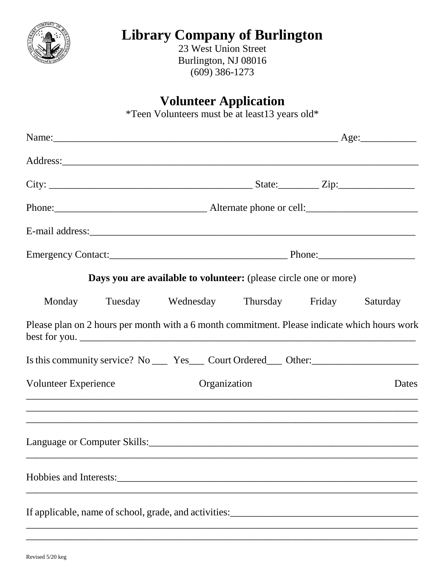

# **Library Company of Burlington**

23 West Union Street Burlington, NJ 08016 (609) 386-1273

### **Volunteer Application**

\*Teen Volunteers must be at least13 years old\*

|                      |  |                                                                                                                                      | Name: <u>Age:</u> Age: <u>Age:</u> Age: Age: <b>Age:</b> Age: <b>Age:</b> Age: <b>Age:</b> Age: <b>Age:</b> Age: <b>Age:</b> Age: <b>Age:</b> Age: <b>Age:</b> Age: <b>Age:</b> Age: <b>Age:</b> Age: <b>Age:</b> Age: <b>Age:</b> Age: <b>Age:</b> Age: <b>Age:</b> Age: <b>Age:</b> Age: <b>Age:</b> Age: <b>Age:</b> |  |       |
|----------------------|--|--------------------------------------------------------------------------------------------------------------------------------------|-------------------------------------------------------------------------------------------------------------------------------------------------------------------------------------------------------------------------------------------------------------------------------------------------------------------------|--|-------|
|                      |  |                                                                                                                                      |                                                                                                                                                                                                                                                                                                                         |  |       |
|                      |  |                                                                                                                                      |                                                                                                                                                                                                                                                                                                                         |  |       |
|                      |  | Phone: 2011. Alternate phone or cell: 2012. Alternate phone or cell:                                                                 |                                                                                                                                                                                                                                                                                                                         |  |       |
|                      |  |                                                                                                                                      |                                                                                                                                                                                                                                                                                                                         |  |       |
|                      |  |                                                                                                                                      |                                                                                                                                                                                                                                                                                                                         |  |       |
|                      |  | Days you are available to volunteer: (please circle one or more)                                                                     |                                                                                                                                                                                                                                                                                                                         |  |       |
|                      |  | Monday Tuesday Wednesday Thursday Friday Saturday                                                                                    |                                                                                                                                                                                                                                                                                                                         |  |       |
|                      |  | Please plan on 2 hours per month with a 6 month commitment. Please indicate which hours work                                         |                                                                                                                                                                                                                                                                                                                         |  |       |
|                      |  | Is this community service? No ______ Yes _____ Court Ordered _____ Other: __________________________                                 |                                                                                                                                                                                                                                                                                                                         |  |       |
| Volunteer Experience |  | Organization<br><u> 1990 - 1991 - 1992 - 1993 - 1994 - 1995 - 1996 - 1997 - 1998 - 1999 - 1999 - 1999 - 1999 - 1999 - 1999 - 199</u> |                                                                                                                                                                                                                                                                                                                         |  | Dates |
|                      |  | <u> 1999 - Andrea Station, Amerikaansk politiker (d. 1989)</u>                                                                       |                                                                                                                                                                                                                                                                                                                         |  |       |
|                      |  | Hobbies and Interests:                                                                                                               |                                                                                                                                                                                                                                                                                                                         |  |       |
|                      |  | If applicable, name of school, grade, and activities:<br><u>Factor Communication</u>                                                 |                                                                                                                                                                                                                                                                                                                         |  |       |

\_\_\_\_\_\_\_\_\_\_\_\_\_\_\_\_\_\_\_\_\_\_\_\_\_\_\_\_\_\_\_\_\_\_\_\_\_\_\_\_\_\_\_\_\_\_\_\_\_\_\_\_\_\_\_\_\_\_\_\_\_\_\_\_\_\_\_\_\_\_\_\_\_\_\_\_\_